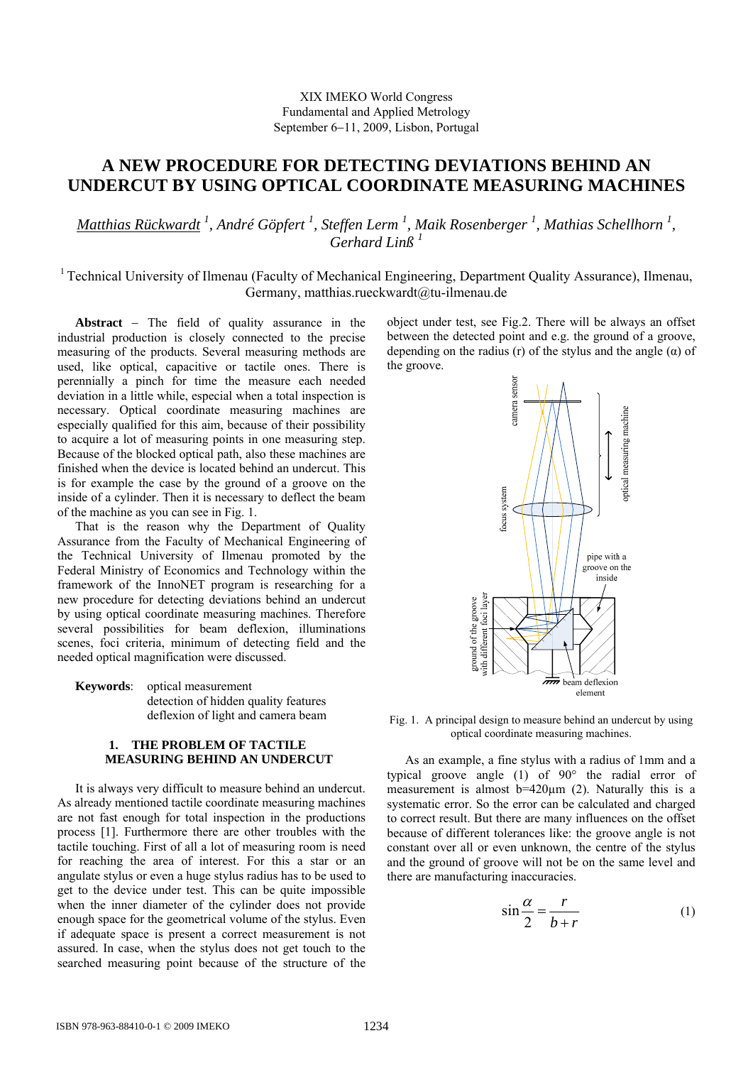# XIX IMEKO World Congress Fundamental and Applied Metrology September 6−11, 2009, Lisbon, Portugal

# **A NEW PROCEDURE FOR DETECTING DEVIATIONS BEHIND AN UNDERCUT BY USING OPTICAL COORDINATE MEASURING MACHINES**

*Matthias Rückwardt <sup>1</sup> , André Göpfert 1 , Steffen Lerm 1 , Maik Rosenberger <sup>1</sup> , Mathias Schellhorn <sup>1</sup> , Gerhard Linß <sup>1</sup>*

1 Technical University of Ilmenau (Faculty of Mechanical Engineering, Department Quality Assurance), Ilmenau, Germany, matthias.rueckwardt@tu-ilmenau.de

**Abstract** − The field of quality assurance in the industrial production is closely connected to the precise measuring of the products. Several measuring methods are used, like optical, capacitive or tactile ones. There is perennially a pinch for time the measure each needed deviation in a little while, especial when a total inspection is necessary. Optical coordinate measuring machines are especially qualified for this aim, because of their possibility to acquire a lot of measuring points in one measuring step. Because of the blocked optical path, also these machines are finished when the device is located behind an undercut. This is for example the case by the ground of a groove on the inside of a cylinder. Then it is necessary to deflect the beam of the machine as you can see in Fig. 1.

That is the reason why the Department of Quality Assurance from the Faculty of Mechanical Engineering of the Technical University of Ilmenau promoted by the Federal Ministry of Economics and Technology within the framework of the InnoNET program is researching for a new procedure for detecting deviations behind an undercut by using optical coordinate measuring machines. Therefore several possibilities for beam deflexion, illuminations scenes, foci criteria, minimum of detecting field and the needed optical magnification were discussed.

**Keywords**: optical measurement detection of hidden quality features deflexion of light and camera beam

## **1. THE PROBLEM OF TACTILE MEASURING BEHIND AN UNDERCUT**

It is always very difficult to measure behind an undercut. As already mentioned tactile coordinate measuring machines are not fast enough for total inspection in the productions process [1]. Furthermore there are other troubles with the tactile touching. First of all a lot of measuring room is need for reaching the area of interest. For this a star or an angulate stylus or even a huge stylus radius has to be used to get to the device under test. This can be quite impossible when the inner diameter of the cylinder does not provide enough space for the geometrical volume of the stylus. Even if adequate space is present a correct measurement is not assured. In case, when the stylus does not get touch to the searched measuring point because of the structure of the

object under test, see Fig.2. There will be always an offset between the detected point and e.g. the ground of a groove, depending on the radius (r) of the stylus and the angle  $(\alpha)$  of the groove.



Fig. 1. A principal design to measure behind an undercut by using optical coordinate measuring machines.

As an example, a fine stylus with a radius of 1mm and a typical groove angle (1) of 90° the radial error of measurement is almost  $b=420\mu m$  (2). Naturally this is a systematic error. So the error can be calculated and charged to correct result. But there are many influences on the offset because of different tolerances like: the groove angle is not constant over all or even unknown, the centre of the stylus and the ground of groove will not be on the same level and there are manufacturing inaccuracies.

$$
\sin\frac{\alpha}{2} = \frac{r}{b+r} \tag{1}
$$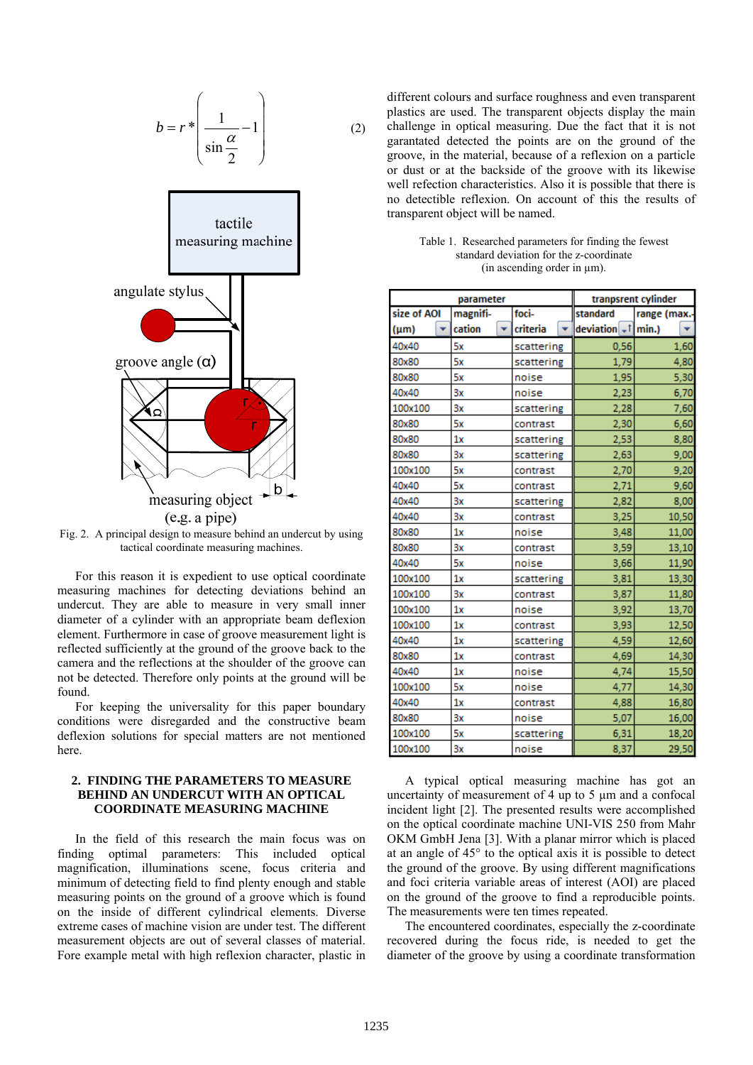$$
b = r \ast \left(\frac{1}{\sin \frac{\alpha}{2}} - 1\right) \tag{2}
$$



Fig. 2. A principal design to measure behind an undercut by using tactical coordinate measuring machines.

For this reason it is expedient to use optical coordinate measuring machines for detecting deviations behind an undercut. They are able to measure in very small inner diameter of a cylinder with an appropriate beam deflexion element. Furthermore in case of groove measurement light is reflected sufficiently at the ground of the groove back to the camera and the reflections at the shoulder of the groove can not be detected. Therefore only points at the ground will be found.

For keeping the universality for this paper boundary conditions were disregarded and the constructive beam deflexion solutions for special matters are not mentioned here.

# **2. FINDING THE PARAMETERS TO MEASURE BEHIND AN UNDERCUT WITH AN OPTICAL COORDINATE MEASURING MACHINE**

In the field of this research the main focus was on finding optimal parameters: This included optical magnification, illuminations scene, focus criteria and minimum of detecting field to find plenty enough and stable measuring points on the ground of a groove which is found on the inside of different cylindrical elements. Diverse extreme cases of machine vision are under test. The different measurement objects are out of several classes of material. Fore example metal with high reflexion character, plastic in

different colours and surface roughness and even transparent plastics are used. The transparent objects display the main challenge in optical measuring. Due the fact that it is not garantated detected the points are on the ground of the groove, in the material, because of a reflexion on a particle or dust or at the backside of the groove with its likewise well refection characteristics. Also it is possible that there is no detectible reflexion. On account of this the results of transparent object will be named.

| Table 1. Researched parameters for finding the fewest |  |
|-------------------------------------------------------|--|
| standard deviation for the z-coordinate               |  |
| (in ascending order in um).                           |  |

| parameter   |              | tranpsrent cylinder |                      |              |
|-------------|--------------|---------------------|----------------------|--------------|
| size of AOI | magnifi-     | foci-               | standard             | range (max.- |
| $(\mu m)$   | cation<br>÷. | criteria<br>÷.      | deviation $-t$ min.) |              |
| 40x40       | 5х           | scattering          | 0,56                 | 1,60         |
| 80x80       | 5x           | scattering          | 1,79                 | 4,80         |
| 80x80       | 5х           | noise               | 1,95                 | 5,30         |
| 40x40       | 3x           | noise               | 2,23                 | 6,70         |
| 100x100     | 3x           | scattering          | 2,28                 | 7,60         |
| 80x80       | 5х           | contrast            | 2,30                 | 6,60         |
| 80x80       | 1x           | scattering          | 2,53                 | 8,80         |
| 80x80       | 3x           | scattering          | 2,63                 | 9,00         |
| 100x100     | 5х           | contrast            | 2,70                 | 9,20         |
| 40x40       | 5х           | contrast            | 2,71                 | 9,60         |
| 40x40       | 3x           | scattering          | 2,82                 | 8,00         |
| 40x40       | 3x           | contrast            | 3,25                 | 10,50        |
| 80x80       | 1x           | noise               | 3,48                 | 11,00        |
| 80x80       | 3x           | contrast            | 3,59                 | 13,10        |
| 40x40       | 5х           | noise               | 3,66                 | 11,90        |
| 100x100     | 1x           | scattering          | 3,81                 | 13,30        |
| 100x100     | 3x           | contrast            | 3,87                 | 11,80        |
| 100x100     | 1x           | noise               | 3,92                 | 13,70        |
| 100x100     | 1x           | contrast            | 3,93                 | 12,50        |
| 40x40       | 1x           | scattering          | 4,59                 | 12,60        |
| 80x80       | 1x           | contrast            | 4,69                 | 14,30        |
| 40x40       | 1x           | noise               | 4,74                 | 15,50        |
| 100x100     | 5x           | noise               | 4,77                 | 14,30        |
| 40x40       | 1x           | contrast            | 4,88                 | 16,80        |
| 80x80       | 3x           | noise               | 5,07                 | 16,00        |
| 100x100     | 5х           | scattering          | 6,31                 | 18,20        |
| 100x100     | 3x           | noise               | 8,37                 | 29,50        |

A typical optical measuring machine has got an uncertainty of measurement of 4 up to 5 µm and a confocal incident light [2]. The presented results were accomplished on the optical coordinate machine UNI-VIS 250 from Mahr OKM GmbH Jena [3]. With a planar mirror which is placed at an angle of 45° to the optical axis it is possible to detect the ground of the groove. By using different magnifications and foci criteria variable areas of interest (AOI) are placed on the ground of the groove to find a reproducible points. The measurements were ten times repeated.

The encountered coordinates, especially the z-coordinate recovered during the focus ride, is needed to get the diameter of the groove by using a coordinate transformation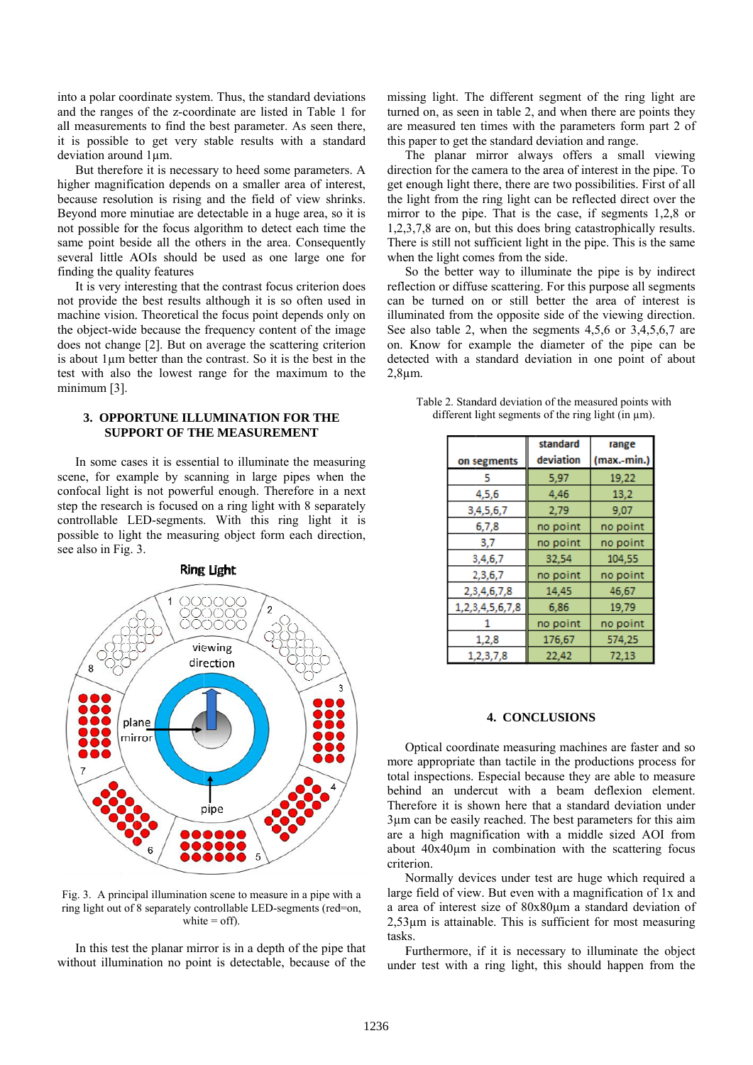into a polar coordinate system. Thus, the standard deviations and the ranges of the z-coordinate are listed in Table 1 for all measurements to find the best parameter. As seen there, it is possible to get very stable results with a standard deviation around  $1 \mu m$ .

But therefore it is necessary to heed some parameters. A higher magnification depends on a smaller area of interest, because resolution is rising and the field of view shrinks. Beyond more minutiae are detectable in a huge area, so it is not possible for the focus algorithm to detect each time the same point beside all the others in the area. Consequently several little AOIs should be used as one large one for finding the quality features

It is very interesting that the contrast focus criterion does not provide the best results although it is so often used in machine vision. Theoretical the focus point depends only on the object-wide because the frequency content of the image does not change [2]. But on average the scattering criterion is about 1um better than the contrast. So it is the best in the test with also the lowest range for the maximum to the minimum  $[3]$ .

#### 3. OPPORTUNE ILLUMINATION FOR THE **SUPPORT OF THE MEASUREMENT**

In some cases it is essential to illuminate the measuring scene, for example by scanning in large pipes when the confocal light is not powerful enough. Therefore in a next step the research is focused on a ring light with 8 separately controllable LED-segments. With this ring light it is possible to light the measuring object form each direction, see also in Fig. 3.



Fig. 3. A principal illumination scene to measure in a pipe with a ring light out of 8 separately controllable LED-segments (red=on, white  $=$  off).

In this test the planar mirror is in a depth of the pipe that without illumination no point is detectable, because of the missing light. The different segment of the ring light are turned on, as seen in table 2, and when there are points they are measured ten times with the parameters form part 2 of this paper to get the standard deviation and range.

The planar mirror always offers a small viewing direction for the camera to the area of interest in the pipe. To get enough light there, there are two possibilities. First of all the light from the ring light can be reflected direct over the mirror to the pipe. That is the case, if segments  $1,2,8$  or 1,2,3,7,8 are on, but this does bring catastrophically results. There is still not sufficient light in the pipe. This is the same when the light comes from the side.

So the better way to illuminate the pipe is by indirect reflection or diffuse scattering. For this purpose all segments can be turned on or still better the area of interest is illuminated from the opposite side of the viewing direction. See also table 2, when the segments 4.5.6 or 3.4.5.6.7 are on. Know for example the diameter of the pipe can be detected with a standard deviation in one point of about  $2,8 \mu m$ .

Table 2. Standard deviation of the measured points with different light segments of the ring light (in  $\mu$ m).

| on segments      | standard<br>deviation | range<br>(max.-min. |
|------------------|-----------------------|---------------------|
| 5                | 5,97                  | 19,22               |
| 4,5,6            | 4,46                  | 13,2                |
| 3,4,5,6,7        | 2,79                  | 9.07                |
| 6,7,8            | no point              | no point            |
| 3,7              | no point              | no point            |
| 3,4,6,7          | 32,54                 | 104,55              |
| 2,3,6,7          | no point              | no point            |
| 2, 3, 4, 6, 7, 8 | 14,45                 | 46,67               |
| 1,2,3,4,5,6,7,8  | 6,86                  | 19,79               |
|                  | no point              | no point            |
| 1,2,8            | 176,67                | 574,25              |
| 1,2,3,7,8        | 22,42                 | 72,13               |

#### **4. CONCLUSIONS**

Optical coordinate measuring machines are faster and so more appropriate than tactile in the productions process for total inspections. Especial because they are able to measure behind an undercut with a beam deflexion element. Therefore it is shown here that a standard deviation under 3µm can be easily reached. The best parameters for this aim are a high magnification with a middle sized AOI from about  $40x40\mu m$  in combination with the scattering focus criterion

Normally devices under test are huge which required a large field of view. But even with a magnification of 1x and a area of interest size of 80x80um a standard deviation of  $2,53\mu$ m is attainable. This is sufficient for most measuring tasks.

Furthermore, if it is necessary to illuminate the object under test with a ring light, this should happen from the